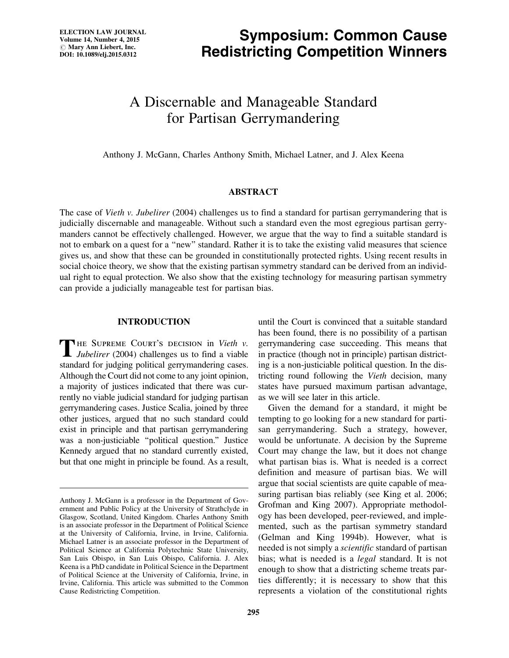# Symposium: Common Cause Redistricting Competition Winners

# A Discernable and Manageable Standard for Partisan Gerrymandering

Anthony J. McGann, Charles Anthony Smith, Michael Latner, and J. Alex Keena

## ABSTRACT

The case of *Vieth v. Jubelirer* (2004) challenges us to find a standard for partisan gerrymandering that is judicially discernable and manageable. Without such a standard even the most egregious partisan gerrymanders cannot be effectively challenged. However, we argue that the way to find a suitable standard is not to embark on a quest for a ''new'' standard. Rather it is to take the existing valid measures that science gives us, and show that these can be grounded in constitutionally protected rights. Using recent results in social choice theory, we show that the existing partisan symmetry standard can be derived from an individual right to equal protection. We also show that the existing technology for measuring partisan symmetry can provide a judicially manageable test for partisan bias.

## INTRODUCTION

THE SUPREME COURT'S DECISION in Vieth v.<br>Jubelirer (2004) challenges us to find a viable standard for judging political gerrymandering cases. Although the Court did not come to any joint opinion, a majority of justices indicated that there was currently no viable judicial standard for judging partisan gerrymandering cases. Justice Scalia, joined by three other justices, argued that no such standard could exist in principle and that partisan gerrymandering was a non-justiciable ''political question.'' Justice Kennedy argued that no standard currently existed, but that one might in principle be found. As a result, until the Court is convinced that a suitable standard has been found, there is no possibility of a partisan gerrymandering case succeeding. This means that in practice (though not in principle) partisan districting is a non-justiciable political question. In the districting round following the Vieth decision, many states have pursued maximum partisan advantage, as we will see later in this article.

Given the demand for a standard, it might be tempting to go looking for a new standard for partisan gerrymandering. Such a strategy, however, would be unfortunate. A decision by the Supreme Court may change the law, but it does not change what partisan bias is. What is needed is a correct definition and measure of partisan bias. We will argue that social scientists are quite capable of measuring partisan bias reliably (see King et al. 2006; Grofman and King 2007). Appropriate methodology has been developed, peer-reviewed, and implemented, such as the partisan symmetry standard (Gelman and King 1994b). However, what is needed is not simply a scientific standard of partisan bias; what is needed is a legal standard. It is not enough to show that a districting scheme treats parties differently; it is necessary to show that this represents a violation of the constitutional rights

Anthony J. McGann is a professor in the Department of Government and Public Policy at the University of Strathclyde in Glasgow, Scotland, United Kingdom. Charles Anthony Smith is an associate professor in the Department of Political Science at the University of California, Irvine, in Irvine, California. Michael Latner is an associate professor in the Department of Political Science at California Polytechnic State University, San Luis Obispo, in San Luis Obispo, California. J. Alex Keena is a PhD candidate in Political Science in the Department of Political Science at the University of California, Irvine, in Irvine, California. This article was submitted to the Common Cause Redistricting Competition.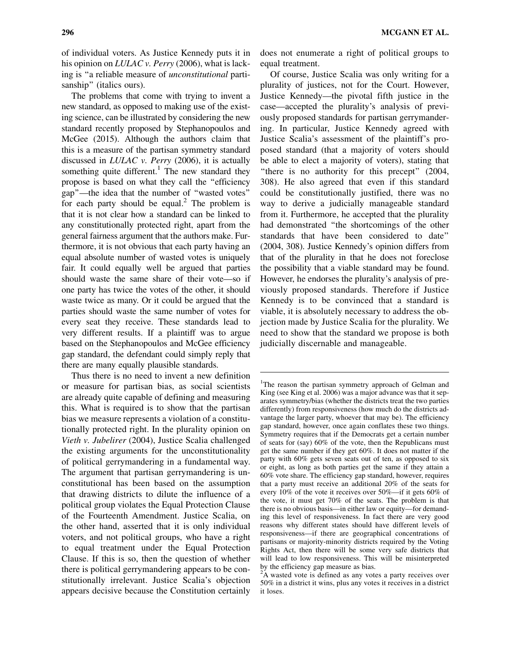of individual voters. As Justice Kennedy puts it in his opinion on *LULAC v. Perry* (2006), what is lacking is ''a reliable measure of unconstitutional partisanship" (italics ours).

The problems that come with trying to invent a new standard, as opposed to making use of the existing science, can be illustrated by considering the new standard recently proposed by Stephanopoulos and McGee (2015). Although the authors claim that this is a measure of the partisan symmetry standard discussed in  $LULAC$  v. Perry (2006), it is actually something quite different.<sup>1</sup> The new standard they propose is based on what they call the ''efficiency gap''—the idea that the number of ''wasted votes'' for each party should be equal.<sup>2</sup> The problem is that it is not clear how a standard can be linked to any constitutionally protected right, apart from the general fairness argument that the authors make. Furthermore, it is not obvious that each party having an equal absolute number of wasted votes is uniquely fair. It could equally well be argued that parties should waste the same share of their vote—so if one party has twice the votes of the other, it should waste twice as many. Or it could be argued that the parties should waste the same number of votes for every seat they receive. These standards lead to very different results. If a plaintiff was to argue based on the Stephanopoulos and McGee efficiency gap standard, the defendant could simply reply that there are many equally plausible standards.

Thus there is no need to invent a new definition or measure for partisan bias, as social scientists are already quite capable of defining and measuring this. What is required is to show that the partisan bias we measure represents a violation of a constitutionally protected right. In the plurality opinion on Vieth v. Jubelirer (2004), Justice Scalia challenged the existing arguments for the unconstitutionality of political gerrymandering in a fundamental way. The argument that partisan gerrymandering is unconstitutional has been based on the assumption that drawing districts to dilute the influence of a political group violates the Equal Protection Clause of the Fourteenth Amendment. Justice Scalia, on the other hand, asserted that it is only individual voters, and not political groups, who have a right to equal treatment under the Equal Protection Clause. If this is so, then the question of whether there is political gerrymandering appears to be constitutionally irrelevant. Justice Scalia's objection appears decisive because the Constitution certainly

296 MCGANN ET AL.

does not enumerate a right of political groups to equal treatment.

Of course, Justice Scalia was only writing for a plurality of justices, not for the Court. However, Justice Kennedy—the pivotal fifth justice in the case—accepted the plurality's analysis of previously proposed standards for partisan gerrymandering. In particular, Justice Kennedy agreed with Justice Scalia's assessment of the plaintiff's proposed standard (that a majority of voters should be able to elect a majority of voters), stating that "there is no authority for this precept" (2004, 308). He also agreed that even if this standard could be constitutionally justified, there was no way to derive a judicially manageable standard from it. Furthermore, he accepted that the plurality had demonstrated ''the shortcomings of the other standards that have been considered to date'' (2004, 308). Justice Kennedy's opinion differs from that of the plurality in that he does not foreclose the possibility that a viable standard may be found. However, he endorses the plurality's analysis of previously proposed standards. Therefore if Justice Kennedy is to be convinced that a standard is viable, it is absolutely necessary to address the objection made by Justice Scalia for the plurality. We need to show that the standard we propose is both judicially discernable and manageable.

<sup>&</sup>lt;sup>1</sup>The reason the partisan symmetry approach of Gelman and King (see King et al. 2006) was a major advance was that it separates symmetry/bias (whether the districts treat the two parties differently) from responsiveness (how much do the districts advantage the larger party, whoever that may be). The efficiency gap standard, however, once again conflates these two things. Symmetry requires that if the Democrats get a certain number of seats for (say) 60% of the vote, then the Republicans must get the same number if they get 60%. It does not matter if the party with 60% gets seven seats out of ten, as opposed to six or eight, as long as both parties get the same if they attain a 60% vote share. The efficiency gap standard, however, requires that a party must receive an additional 20% of the seats for every 10% of the vote it receives over 50%—if it gets 60% of the vote, it must get 70% of the seats. The problem is that there is no obvious basis—in either law or equity—for demanding this level of responsiveness. In fact there are very good reasons why different states should have different levels of responsiveness—if there are geographical concentrations of partisans or majority-minority districts required by the Voting Rights Act, then there will be some very safe districts that will lead to low responsiveness. This will be misinterpreted

by the efficiency gap measure as bias. 2 A wasted vote is defined as any votes a party receives over 50% in a district it wins, plus any votes it receives in a district it loses.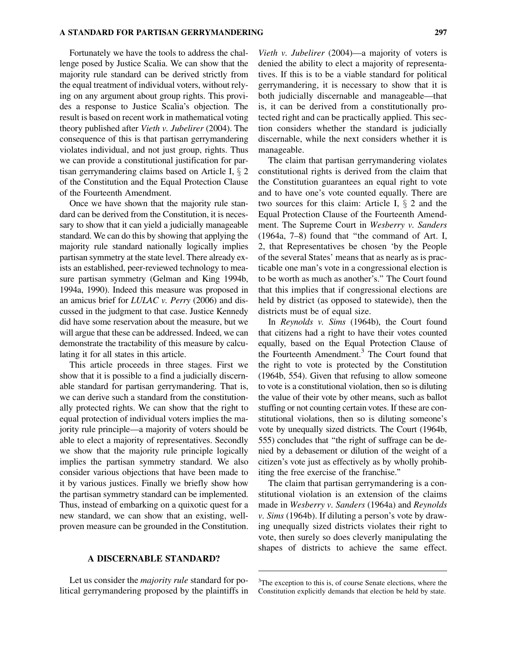#### A STANDARD FOR PARTISAN GERRYMANDERING 297

Fortunately we have the tools to address the challenge posed by Justice Scalia. We can show that the majority rule standard can be derived strictly from the equal treatment of individual voters, without relying on any argument about group rights. This provides a response to Justice Scalia's objection. The result is based on recent work in mathematical voting theory published after Vieth v. Jubelirer (2004). The consequence of this is that partisan gerrymandering violates individual, and not just group, rights. Thus we can provide a constitutional justification for partisan gerrymandering claims based on Article I,  $\S$  2 of the Constitution and the Equal Protection Clause of the Fourteenth Amendment.

Once we have shown that the majority rule standard can be derived from the Constitution, it is necessary to show that it can yield a judicially manageable standard. We can do this by showing that applying the majority rule standard nationally logically implies partisan symmetry at the state level. There already exists an established, peer-reviewed technology to measure partisan symmetry (Gelman and King 1994b, 1994a, 1990). Indeed this measure was proposed in an amicus brief for LULAC v. Perry (2006) and discussed in the judgment to that case. Justice Kennedy did have some reservation about the measure, but we will argue that these can be addressed. Indeed, we can demonstrate the tractability of this measure by calculating it for all states in this article.

This article proceeds in three stages. First we show that it is possible to a find a judicially discernable standard for partisan gerrymandering. That is, we can derive such a standard from the constitutionally protected rights. We can show that the right to equal protection of individual voters implies the majority rule principle—a majority of voters should be able to elect a majority of representatives. Secondly we show that the majority rule principle logically implies the partisan symmetry standard. We also consider various objections that have been made to it by various justices. Finally we briefly show how the partisan symmetry standard can be implemented. Thus, instead of embarking on a quixotic quest for a new standard, we can show that an existing, wellproven measure can be grounded in the Constitution.

### A DISCERNABLE STANDARD?

Let us consider the *majority rule* standard for political gerrymandering proposed by the plaintiffs in

Vieth v. Jubelirer (2004)—a majority of voters is denied the ability to elect a majority of representatives. If this is to be a viable standard for political gerrymandering, it is necessary to show that it is both judicially discernable and manageable—that is, it can be derived from a constitutionally protected right and can be practically applied. This section considers whether the standard is judicially discernable, while the next considers whether it is manageable.

The claim that partisan gerrymandering violates constitutional rights is derived from the claim that the Constitution guarantees an equal right to vote and to have one's vote counted equally. There are two sources for this claim: Article I,  $\S$  2 and the Equal Protection Clause of the Fourteenth Amendment. The Supreme Court in Wesberry v. Sanders (1964a, 7–8) found that ''the command of Art. I, 2, that Representatives be chosen 'by the People of the several States' means that as nearly as is practicable one man's vote in a congressional election is to be worth as much as another's.'' The Court found that this implies that if congressional elections are held by district (as opposed to statewide), then the districts must be of equal size.

In *Reynolds v. Sims* (1964b), the Court found that citizens had a right to have their votes counted equally, based on the Equal Protection Clause of the Fourteenth Amendment.<sup>3</sup> The Court found that the right to vote is protected by the Constitution (1964b, 554). Given that refusing to allow someone to vote is a constitutional violation, then so is diluting the value of their vote by other means, such as ballot stuffing or not counting certain votes. If these are constitutional violations, then so is diluting someone's vote by unequally sized districts. The Court (1964b, 555) concludes that ''the right of suffrage can be denied by a debasement or dilution of the weight of a citizen's vote just as effectively as by wholly prohibiting the free exercise of the franchise.''

The claim that partisan gerrymandering is a constitutional violation is an extension of the claims made in Wesberry v. Sanders (1964a) and Reynolds v. Sims (1964b). If diluting a person's vote by drawing unequally sized districts violates their right to vote, then surely so does cleverly manipulating the shapes of districts to achieve the same effect.

<sup>&</sup>lt;sup>3</sup>The exception to this is, of course Senate elections, where the Constitution explicitly demands that election be held by state.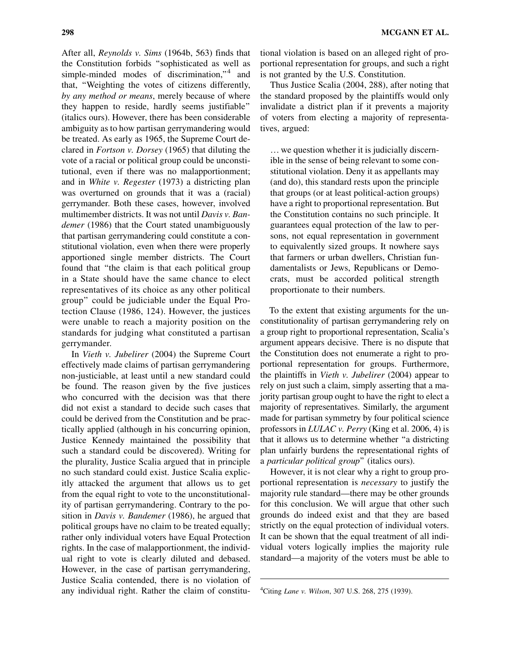After all, Reynolds v. Sims (1964b, 563) finds that the Constitution forbids ''sophisticated as well as simple-minded modes of discrimination,"<sup>4</sup> and that, ''Weighting the votes of citizens differently, by any method or means, merely because of where they happen to reside, hardly seems justifiable'' (italics ours). However, there has been considerable ambiguity as to how partisan gerrymandering would be treated. As early as 1965, the Supreme Court declared in Fortson v. Dorsey (1965) that diluting the vote of a racial or political group could be unconstitutional, even if there was no malapportionment; and in White v. Regester (1973) a districting plan was overturned on grounds that it was a (racial) gerrymander. Both these cases, however, involved multimember districts. It was not until Davis v. Bandemer (1986) that the Court stated unambiguously that partisan gerrymandering could constitute a constitutional violation, even when there were properly apportioned single member districts. The Court found that ''the claim is that each political group in a State should have the same chance to elect representatives of its choice as any other political group'' could be judiciable under the Equal Protection Clause (1986, 124). However, the justices were unable to reach a majority position on the standards for judging what constituted a partisan gerrymander.

In Vieth v. Jubelirer (2004) the Supreme Court effectively made claims of partisan gerrymandering non-justiciable, at least until a new standard could be found. The reason given by the five justices who concurred with the decision was that there did not exist a standard to decide such cases that could be derived from the Constitution and be practically applied (although in his concurring opinion, Justice Kennedy maintained the possibility that such a standard could be discovered). Writing for the plurality, Justice Scalia argued that in principle no such standard could exist. Justice Scalia explicitly attacked the argument that allows us to get from the equal right to vote to the unconstitutionality of partisan gerrymandering. Contrary to the position in *Davis v. Bandemer* (1986), he argued that political groups have no claim to be treated equally; rather only individual voters have Equal Protection rights. In the case of malapportionment, the individual right to vote is clearly diluted and debased. However, in the case of partisan gerrymandering, Justice Scalia contended, there is no violation of any individual right. Rather the claim of constitutional violation is based on an alleged right of proportional representation for groups, and such a right is not granted by the U.S. Constitution.

Thus Justice Scalia (2004, 288), after noting that the standard proposed by the plaintiffs would only invalidate a district plan if it prevents a majority of voters from electing a majority of representatives, argued:

... we question whether it is judicially discernible in the sense of being relevant to some constitutional violation. Deny it as appellants may (and do), this standard rests upon the principle that groups (or at least political-action groups) have a right to proportional representation. But the Constitution contains no such principle. It guarantees equal protection of the law to persons, not equal representation in government to equivalently sized groups. It nowhere says that farmers or urban dwellers, Christian fundamentalists or Jews, Republicans or Democrats, must be accorded political strength proportionate to their numbers.

To the extent that existing arguments for the unconstitutionality of partisan gerrymandering rely on a group right to proportional representation, Scalia's argument appears decisive. There is no dispute that the Constitution does not enumerate a right to proportional representation for groups. Furthermore, the plaintiffs in Vieth v. Jubelirer (2004) appear to rely on just such a claim, simply asserting that a majority partisan group ought to have the right to elect a majority of representatives. Similarly, the argument made for partisan symmetry by four political science professors in LULAC v. Perry (King et al. 2006, 4) is that it allows us to determine whether ''a districting plan unfairly burdens the representational rights of a particular political group'' (italics ours).

However, it is not clear why a right to group proportional representation is necessary to justify the majority rule standard—there may be other grounds for this conclusion. We will argue that other such grounds do indeed exist and that they are based strictly on the equal protection of individual voters. It can be shown that the equal treatment of all individual voters logically implies the majority rule standard—a majority of the voters must be able to

<sup>&</sup>lt;sup>4</sup>Citing Lane v. Wilson, 307 U.S. 268, 275 (1939).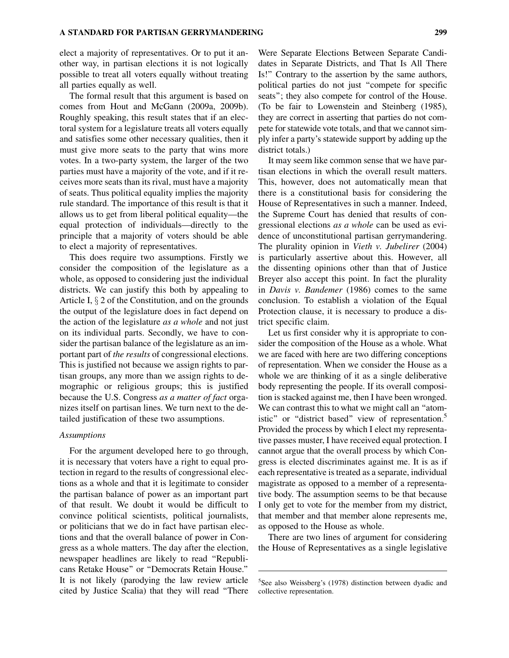elect a majority of representatives. Or to put it another way, in partisan elections it is not logically possible to treat all voters equally without treating all parties equally as well.

The formal result that this argument is based on comes from Hout and McGann (2009a, 2009b). Roughly speaking, this result states that if an electoral system for a legislature treats all voters equally and satisfies some other necessary qualities, then it must give more seats to the party that wins more votes. In a two-party system, the larger of the two parties must have a majority of the vote, and if it receives more seats than its rival, must have a majority of seats. Thus political equality implies the majority rule standard. The importance of this result is that it allows us to get from liberal political equality—the equal protection of individuals—directly to the principle that a majority of voters should be able to elect a majority of representatives.

This does require two assumptions. Firstly we consider the composition of the legislature as a whole, as opposed to considering just the individual districts. We can justify this both by appealing to Article I,  $\S 2$  of the Constitution, and on the grounds the output of the legislature does in fact depend on the action of the legislature *as a whole* and not just on its individual parts. Secondly, we have to consider the partisan balance of the legislature as an important part of the results of congressional elections. This is justified not because we assign rights to partisan groups, any more than we assign rights to demographic or religious groups; this is justified because the U.S. Congress as a matter of fact organizes itself on partisan lines. We turn next to the detailed justification of these two assumptions.

#### Assumptions

For the argument developed here to go through, it is necessary that voters have a right to equal protection in regard to the results of congressional elections as a whole and that it is legitimate to consider the partisan balance of power as an important part of that result. We doubt it would be difficult to convince political scientists, political journalists, or politicians that we do in fact have partisan elections and that the overall balance of power in Congress as a whole matters. The day after the election, newspaper headlines are likely to read ''Republicans Retake House'' or ''Democrats Retain House.'' It is not likely (parodying the law review article cited by Justice Scalia) that they will read ''There

Were Separate Elections Between Separate Candidates in Separate Districts, and That Is All There Is!'' Contrary to the assertion by the same authors, political parties do not just ''compete for specific seats''; they also compete for control of the House. (To be fair to Lowenstein and Steinberg (1985), they are correct in asserting that parties do not compete for statewide vote totals, and that we cannot simply infer a party's statewide support by adding up the district totals.)

It may seem like common sense that we have partisan elections in which the overall result matters. This, however, does not automatically mean that there is a constitutional basis for considering the House of Representatives in such a manner. Indeed, the Supreme Court has denied that results of congressional elections as a whole can be used as evidence of unconstitutional partisan gerrymandering. The plurality opinion in *Vieth v. Jubelirer* (2004) is particularly assertive about this. However, all the dissenting opinions other than that of Justice Breyer also accept this point. In fact the plurality in Davis v. Bandemer (1986) comes to the same conclusion. To establish a violation of the Equal Protection clause, it is necessary to produce a district specific claim.

Let us first consider why it is appropriate to consider the composition of the House as a whole. What we are faced with here are two differing conceptions of representation. When we consider the House as a whole we are thinking of it as a single deliberative body representing the people. If its overall composition is stacked against me, then I have been wronged. We can contrast this to what we might call an ''atomistic" or "district based" view of representation.<sup>5</sup> Provided the process by which I elect my representative passes muster, I have received equal protection. I cannot argue that the overall process by which Congress is elected discriminates against me. It is as if each representative is treated as a separate, individual magistrate as opposed to a member of a representative body. The assumption seems to be that because I only get to vote for the member from my district, that member and that member alone represents me, as opposed to the House as whole.

There are two lines of argument for considering the House of Representatives as a single legislative

<sup>&</sup>lt;sup>5</sup>See also Weissberg's (1978) distinction between dyadic and collective representation.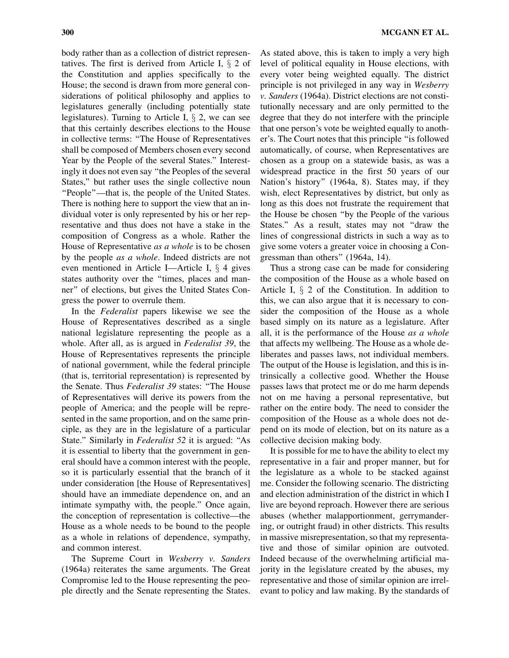body rather than as a collection of district representatives. The first is derived from Article I,  $\S$  2 of the Constitution and applies specifically to the House; the second is drawn from more general considerations of political philosophy and applies to legislatures generally (including potentially state legislatures). Turning to Article I,  $\S$  2, we can see that this certainly describes elections to the House in collective terms: ''The House of Representatives shall be composed of Members chosen every second Year by the People of the several States.'' Interestingly it does not even say ''the Peoples of the several States,'' but rather uses the single collective noun ''People''—that is, the people of the United States. There is nothing here to support the view that an individual voter is only represented by his or her representative and thus does not have a stake in the composition of Congress as a whole. Rather the House of Representative *as a whole* is to be chosen by the people as a whole. Indeed districts are not even mentioned in Article I—Article I,  $\S$  4 gives states authority over the ''times, places and manner'' of elections, but gives the United States Congress the power to overrule them.

In the Federalist papers likewise we see the House of Representatives described as a single national legislature representing the people as a whole. After all, as is argued in Federalist 39, the House of Representatives represents the principle of national government, while the federal principle (that is, territorial representation) is represented by the Senate. Thus Federalist 39 states: ''The House of Representatives will derive its powers from the people of America; and the people will be represented in the same proportion, and on the same principle, as they are in the legislature of a particular State.'' Similarly in Federalist 52 it is argued: ''As it is essential to liberty that the government in general should have a common interest with the people, so it is particularly essential that the branch of it under consideration [the House of Representatives] should have an immediate dependence on, and an intimate sympathy with, the people.'' Once again, the conception of representation is collective—the House as a whole needs to be bound to the people as a whole in relations of dependence, sympathy, and common interest.

The Supreme Court in Wesberry v. Sanders (1964a) reiterates the same arguments. The Great Compromise led to the House representing the people directly and the Senate representing the States. As stated above, this is taken to imply a very high level of political equality in House elections, with every voter being weighted equally. The district principle is not privileged in any way in Wesberry v. Sanders (1964a). District elections are not constitutionally necessary and are only permitted to the degree that they do not interfere with the principle that one person's vote be weighted equally to another's. The Court notes that this principle ''is followed automatically, of course, when Representatives are chosen as a group on a statewide basis, as was a widespread practice in the first 50 years of our Nation's history'' (1964a, 8). States may, if they wish, elect Representatives by district, but only as long as this does not frustrate the requirement that the House be chosen ''by the People of the various States.'' As a result, states may not ''draw the lines of congressional districts in such a way as to give some voters a greater voice in choosing a Congressman than others'' (1964a, 14).

Thus a strong case can be made for considering the composition of the House as a whole based on Article I,  $\S$  2 of the Constitution. In addition to this, we can also argue that it is necessary to consider the composition of the House as a whole based simply on its nature as a legislature. After all, it is the performance of the House as a whole that affects my wellbeing. The House as a whole deliberates and passes laws, not individual members. The output of the House is legislation, and this is intrinsically a collective good. Whether the House passes laws that protect me or do me harm depends not on me having a personal representative, but rather on the entire body. The need to consider the composition of the House as a whole does not depend on its mode of election, but on its nature as a collective decision making body.

It is possible for me to have the ability to elect my representative in a fair and proper manner, but for the legislature as a whole to be stacked against me. Consider the following scenario. The districting and election administration of the district in which I live are beyond reproach. However there are serious abuses (whether malapportionment, gerrymandering, or outright fraud) in other districts. This results in massive misrepresentation, so that my representative and those of similar opinion are outvoted. Indeed because of the overwhelming artificial majority in the legislature created by the abuses, my representative and those of similar opinion are irrelevant to policy and law making. By the standards of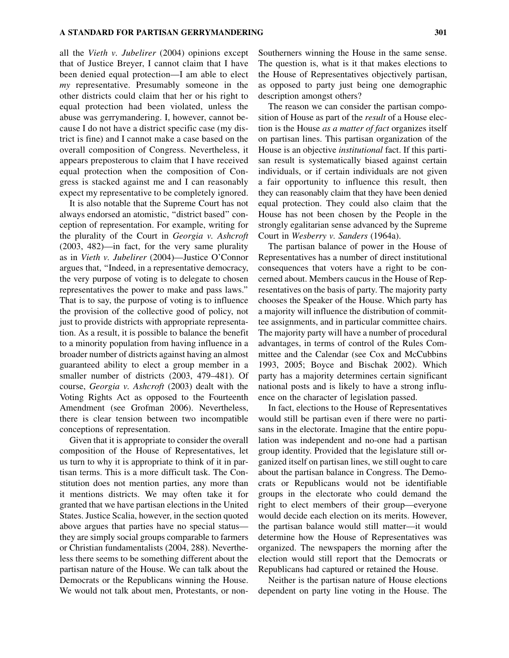#### A STANDARD FOR PARTISAN GERRYMANDERING 301

all the Vieth v. Jubelirer (2004) opinions except that of Justice Breyer, I cannot claim that I have been denied equal protection—I am able to elect my representative. Presumably someone in the other districts could claim that her or his right to equal protection had been violated, unless the abuse was gerrymandering. I, however, cannot because I do not have a district specific case (my district is fine) and I cannot make a case based on the overall composition of Congress. Nevertheless, it appears preposterous to claim that I have received equal protection when the composition of Congress is stacked against me and I can reasonably expect my representative to be completely ignored.

It is also notable that the Supreme Court has not always endorsed an atomistic, ''district based'' conception of representation. For example, writing for the plurality of the Court in Georgia v. Ashcroft (2003, 482)—in fact, for the very same plurality as in Vieth v. Jubelirer (2004)—Justice O'Connor argues that, ''Indeed, in a representative democracy, the very purpose of voting is to delegate to chosen representatives the power to make and pass laws.'' That is to say, the purpose of voting is to influence the provision of the collective good of policy, not just to provide districts with appropriate representation. As a result, it is possible to balance the benefit to a minority population from having influence in a broader number of districts against having an almost guaranteed ability to elect a group member in a smaller number of districts (2003, 479–481). Of course, Georgia v. Ashcroft (2003) dealt with the Voting Rights Act as opposed to the Fourteenth Amendment (see Grofman 2006). Nevertheless, there is clear tension between two incompatible conceptions of representation.

Given that it is appropriate to consider the overall composition of the House of Representatives, let us turn to why it is appropriate to think of it in partisan terms. This is a more difficult task. The Constitution does not mention parties, any more than it mentions districts. We may often take it for granted that we have partisan elections in the United States. Justice Scalia, however, in the section quoted above argues that parties have no special status they are simply social groups comparable to farmers or Christian fundamentalists (2004, 288). Nevertheless there seems to be something different about the partisan nature of the House. We can talk about the Democrats or the Republicans winning the House. We would not talk about men, Protestants, or nonSoutherners winning the House in the same sense. The question is, what is it that makes elections to the House of Representatives objectively partisan, as opposed to party just being one demographic description amongst others?

The reason we can consider the partisan composition of House as part of the result of a House election is the House as a matter of fact organizes itself on partisan lines. This partisan organization of the House is an objective institutional fact. If this partisan result is systematically biased against certain individuals, or if certain individuals are not given a fair opportunity to influence this result, then they can reasonably claim that they have been denied equal protection. They could also claim that the House has not been chosen by the People in the strongly egalitarian sense advanced by the Supreme Court in Wesberry v. Sanders (1964a).

The partisan balance of power in the House of Representatives has a number of direct institutional consequences that voters have a right to be concerned about. Members caucus in the House of Representatives on the basis of party. The majority party chooses the Speaker of the House. Which party has a majority will influence the distribution of committee assignments, and in particular committee chairs. The majority party will have a number of procedural advantages, in terms of control of the Rules Committee and the Calendar (see Cox and McCubbins 1993, 2005; Boyce and Bischak 2002). Which party has a majority determines certain significant national posts and is likely to have a strong influence on the character of legislation passed.

In fact, elections to the House of Representatives would still be partisan even if there were no partisans in the electorate. Imagine that the entire population was independent and no-one had a partisan group identity. Provided that the legislature still organized itself on partisan lines, we still ought to care about the partisan balance in Congress. The Democrats or Republicans would not be identifiable groups in the electorate who could demand the right to elect members of their group—everyone would decide each election on its merits. However, the partisan balance would still matter—it would determine how the House of Representatives was organized. The newspapers the morning after the election would still report that the Democrats or Republicans had captured or retained the House.

Neither is the partisan nature of House elections dependent on party line voting in the House. The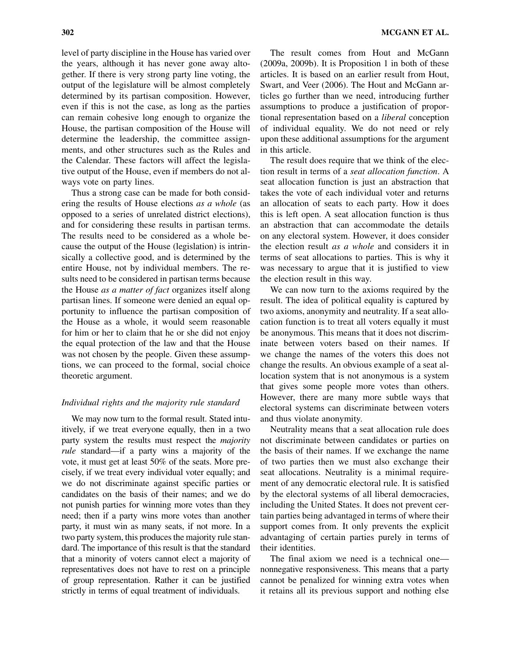level of party discipline in the House has varied over the years, although it has never gone away altogether. If there is very strong party line voting, the output of the legislature will be almost completely determined by its partisan composition. However, even if this is not the case, as long as the parties can remain cohesive long enough to organize the House, the partisan composition of the House will determine the leadership, the committee assignments, and other structures such as the Rules and the Calendar. These factors will affect the legislative output of the House, even if members do not always vote on party lines.

Thus a strong case can be made for both considering the results of House elections as a whole (as opposed to a series of unrelated district elections), and for considering these results in partisan terms. The results need to be considered as a whole because the output of the House (legislation) is intrinsically a collective good, and is determined by the entire House, not by individual members. The results need to be considered in partisan terms because the House as a matter of fact organizes itself along partisan lines. If someone were denied an equal opportunity to influence the partisan composition of the House as a whole, it would seem reasonable for him or her to claim that he or she did not enjoy the equal protection of the law and that the House was not chosen by the people. Given these assumptions, we can proceed to the formal, social choice theoretic argument.

### Individual rights and the majority rule standard

We may now turn to the formal result. Stated intuitively, if we treat everyone equally, then in a two party system the results must respect the majority rule standard—if a party wins a majority of the vote, it must get at least 50% of the seats. More precisely, if we treat every individual voter equally; and we do not discriminate against specific parties or candidates on the basis of their names; and we do not punish parties for winning more votes than they need; then if a party wins more votes than another party, it must win as many seats, if not more. In a two party system, this produces the majority rule standard. The importance of this result is that the standard that a minority of voters cannot elect a majority of representatives does not have to rest on a principle of group representation. Rather it can be justified strictly in terms of equal treatment of individuals.

The result comes from Hout and McGann (2009a, 2009b). It is Proposition 1 in both of these articles. It is based on an earlier result from Hout, Swart, and Veer (2006). The Hout and McGann articles go further than we need, introducing further assumptions to produce a justification of proportional representation based on a liberal conception of individual equality. We do not need or rely upon these additional assumptions for the argument in this article.

The result does require that we think of the election result in terms of a seat allocation function. A seat allocation function is just an abstraction that takes the vote of each individual voter and returns an allocation of seats to each party. How it does this is left open. A seat allocation function is thus an abstraction that can accommodate the details on any electoral system. However, it does consider the election result as a whole and considers it in terms of seat allocations to parties. This is why it was necessary to argue that it is justified to view the election result in this way.

We can now turn to the axioms required by the result. The idea of political equality is captured by two axioms, anonymity and neutrality. If a seat allocation function is to treat all voters equally it must be anonymous. This means that it does not discriminate between voters based on their names. If we change the names of the voters this does not change the results. An obvious example of a seat allocation system that is not anonymous is a system that gives some people more votes than others. However, there are many more subtle ways that electoral systems can discriminate between voters and thus violate anonymity.

Neutrality means that a seat allocation rule does not discriminate between candidates or parties on the basis of their names. If we exchange the name of two parties then we must also exchange their seat allocations. Neutrality is a minimal requirement of any democratic electoral rule. It is satisfied by the electoral systems of all liberal democracies, including the United States. It does not prevent certain parties being advantaged in terms of where their support comes from. It only prevents the explicit advantaging of certain parties purely in terms of their identities.

The final axiom we need is a technical one nonnegative responsiveness. This means that a party cannot be penalized for winning extra votes when it retains all its previous support and nothing else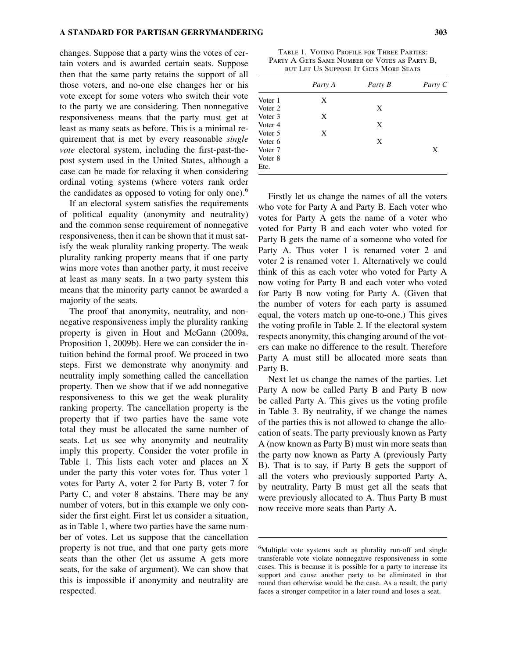changes. Suppose that a party wins the votes of certain voters and is awarded certain seats. Suppose then that the same party retains the support of all those voters, and no-one else changes her or his vote except for some voters who switch their vote to the party we are considering. Then nonnegative responsiveness means that the party must get at least as many seats as before. This is a minimal requirement that is met by every reasonable single vote electoral system, including the first-past-thepost system used in the United States, although a case can be made for relaxing it when considering ordinal voting systems (where voters rank order the candidates as opposed to voting for only one).<sup>6</sup>

If an electoral system satisfies the requirements of political equality (anonymity and neutrality) and the common sense requirement of nonnegative responsiveness, then it can be shown that it must satisfy the weak plurality ranking property. The weak plurality ranking property means that if one party wins more votes than another party, it must receive at least as many seats. In a two party system this means that the minority party cannot be awarded a majority of the seats.

The proof that anonymity, neutrality, and nonnegative responsiveness imply the plurality ranking property is given in Hout and McGann (2009a, Proposition 1, 2009b). Here we can consider the intuition behind the formal proof. We proceed in two steps. First we demonstrate why anonymity and neutrality imply something called the cancellation property. Then we show that if we add nonnegative responsiveness to this we get the weak plurality ranking property. The cancellation property is the property that if two parties have the same vote total they must be allocated the same number of seats. Let us see why anonymity and neutrality imply this property. Consider the voter profile in Table 1. This lists each voter and places an X under the party this voter votes for. Thus voter 1 votes for Party A, voter 2 for Party B, voter 7 for Party C, and voter 8 abstains. There may be any number of voters, but in this example we only consider the first eight. First let us consider a situation, as in Table 1, where two parties have the same number of votes. Let us suppose that the cancellation property is not true, and that one party gets more seats than the other (let us assume A gets more seats, for the sake of argument). We can show that this is impossible if anonymity and neutrality are respected.

Table 1. Voting Profile for Three Parties: PARTY A GETS SAME NUMBER OF VOTES AS PARTY B, but Let Us Suppose It Gets More Seats

|         | Party A | Party B | Party C |  |
|---------|---------|---------|---------|--|
| Voter 1 | X       |         |         |  |
| Voter 2 |         | X       |         |  |
| Voter 3 | X       |         |         |  |
| Voter 4 |         | X       |         |  |
| Voter 5 | X       |         |         |  |
| Voter 6 |         | X       |         |  |
| Voter 7 |         |         | X       |  |
| Voter 8 |         |         |         |  |
| Etc.    |         |         |         |  |

Firstly let us change the names of all the voters who vote for Party A and Party B. Each voter who votes for Party A gets the name of a voter who voted for Party B and each voter who voted for Party B gets the name of a someone who voted for Party A. Thus voter 1 is renamed voter 2 and voter 2 is renamed voter 1. Alternatively we could think of this as each voter who voted for Party A now voting for Party B and each voter who voted for Party B now voting for Party A. (Given that the number of voters for each party is assumed equal, the voters match up one-to-one.) This gives the voting profile in Table 2. If the electoral system respects anonymity, this changing around of the voters can make no difference to the result. Therefore Party A must still be allocated more seats than Party B.

Next let us change the names of the parties. Let Party A now be called Party B and Party B now be called Party A. This gives us the voting profile in Table 3. By neutrality, if we change the names of the parties this is not allowed to change the allocation of seats. The party previously known as Party A (now known as Party B) must win more seats than the party now known as Party A (previously Party B). That is to say, if Party B gets the support of all the voters who previously supported Party A, by neutrality, Party B must get all the seats that were previously allocated to A. Thus Party B must now receive more seats than Party A.

<sup>&</sup>lt;sup>6</sup>Multiple vote systems such as plurality run-off and single transferable vote violate nonnegative responsiveness in some cases. This is because it is possible for a party to increase its support and cause another party to be eliminated in that round than otherwise would be the case. As a result, the party faces a stronger competitor in a later round and loses a seat.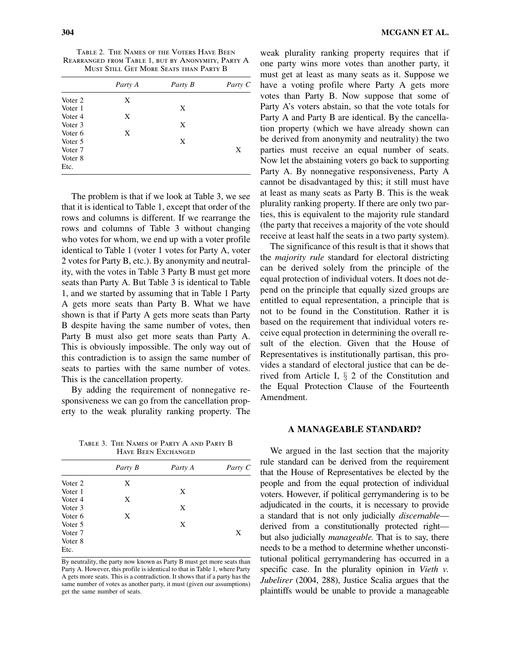Table 2. The Names of the Voters Have Been Rearranged from Table 1, but by Anonymity, Party A Must Still Get More Seats than Party B

|         | Party A | Party B | Party C |
|---------|---------|---------|---------|
| Voter 2 | X       |         |         |
| Voter 1 |         | X       |         |
| Voter 4 | X       |         |         |
| Voter 3 |         | X       |         |
| Voter 6 | X       |         |         |
| Voter 5 |         | X       |         |
| Voter 7 |         |         | X       |
| Voter 8 |         |         |         |
| Etc.    |         |         |         |

The problem is that if we look at Table 3, we see that it is identical to Table 1, except that order of the rows and columns is different. If we rearrange the rows and columns of Table 3 without changing who votes for whom, we end up with a voter profile identical to Table 1 (voter 1 votes for Party A, voter 2 votes for Party B, etc.). By anonymity and neutrality, with the votes in Table 3 Party B must get more seats than Party A. But Table 3 is identical to Table 1, and we started by assuming that in Table 1 Party A gets more seats than Party B. What we have shown is that if Party A gets more seats than Party B despite having the same number of votes, then Party B must also get more seats than Party A. This is obviously impossible. The only way out of this contradiction is to assign the same number of seats to parties with the same number of votes. This is the cancellation property.

By adding the requirement of nonnegative responsiveness we can go from the cancellation property to the weak plurality ranking property. The

Table 3. The Names of Party A and Party B Have Been Exchanged

|         | Party B | Party A | Party C |
|---------|---------|---------|---------|
| Voter 2 | X       |         |         |
| Voter 1 |         | X       |         |
| Voter 4 | X       |         |         |
| Voter 3 |         | X       |         |
| Voter 6 | X       |         |         |
| Voter 5 |         | X       |         |
| Voter 7 |         |         | X       |
| Voter 8 |         |         |         |
| Etc.    |         |         |         |

By neutrality, the party now known as Party B must get more seats than Party A. However, this profile is identical to that in Table 1, where Party A gets more seats. This is a contradiction. It shows that if a party has the same number of votes as another party, it must (given our assumptions) get the same number of seats.

weak plurality ranking property requires that if one party wins more votes than another party, it must get at least as many seats as it. Suppose we have a voting profile where Party A gets more votes than Party B. Now suppose that some of Party A's voters abstain, so that the vote totals for Party A and Party B are identical. By the cancellation property (which we have already shown can be derived from anonymity and neutrality) the two parties must receive an equal number of seats. Now let the abstaining voters go back to supporting Party A. By nonnegative responsiveness, Party A cannot be disadvantaged by this; it still must have at least as many seats as Party B. This is the weak plurality ranking property. If there are only two parties, this is equivalent to the majority rule standard (the party that receives a majority of the vote should receive at least half the seats in a two party system).

The significance of this result is that it shows that the majority rule standard for electoral districting can be derived solely from the principle of the equal protection of individual voters. It does not depend on the principle that equally sized groups are entitled to equal representation, a principle that is not to be found in the Constitution. Rather it is based on the requirement that individual voters receive equal protection in determining the overall result of the election. Given that the House of Representatives is institutionally partisan, this provides a standard of electoral justice that can be derived from Article I,  $\S$  2 of the Constitution and the Equal Protection Clause of the Fourteenth Amendment.

## A MANAGEABLE STANDARD?

We argued in the last section that the majority rule standard can be derived from the requirement that the House of Representatives be elected by the people and from the equal protection of individual voters. However, if political gerrymandering is to be adjudicated in the courts, it is necessary to provide a standard that is not only judicially discernable derived from a constitutionally protected right but also judicially manageable. That is to say, there needs to be a method to determine whether unconstitutional political gerrymandering has occurred in a specific case. In the plurality opinion in *Vieth v*. Jubelirer (2004, 288), Justice Scalia argues that the plaintiffs would be unable to provide a manageable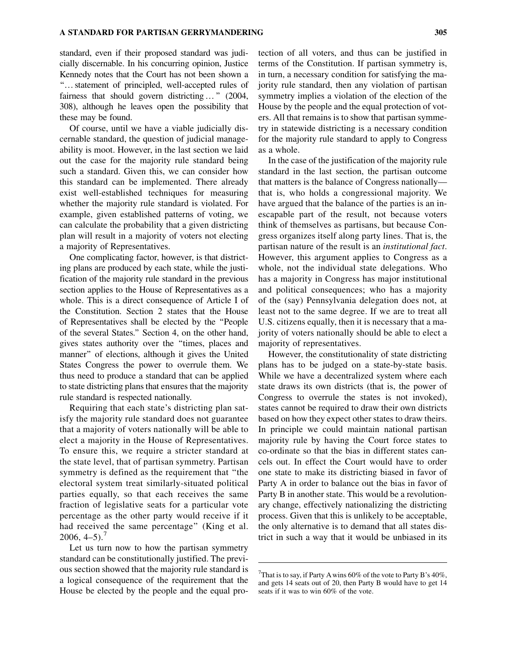standard, even if their proposed standard was judicially discernable. In his concurring opinion, Justice Kennedy notes that the Court has not been shown a "... statement of principled, well-accepted rules of fairness that should govern districting ..." (2004, 308), although he leaves open the possibility that these may be found.

Of course, until we have a viable judicially discernable standard, the question of judicial manageability is moot. However, in the last section we laid out the case for the majority rule standard being such a standard. Given this, we can consider how this standard can be implemented. There already exist well-established techniques for measuring whether the majority rule standard is violated. For example, given established patterns of voting, we can calculate the probability that a given districting plan will result in a majority of voters not electing a majority of Representatives.

One complicating factor, however, is that districting plans are produced by each state, while the justification of the majority rule standard in the previous section applies to the House of Representatives as a whole. This is a direct consequence of Article I of the Constitution. Section 2 states that the House of Representatives shall be elected by the ''People of the several States.'' Section 4, on the other hand, gives states authority over the ''times, places and manner'' of elections, although it gives the United States Congress the power to overrule them. We thus need to produce a standard that can be applied to state districting plans that ensures that the majority rule standard is respected nationally.

Requiring that each state's districting plan satisfy the majority rule standard does not guarantee that a majority of voters nationally will be able to elect a majority in the House of Representatives. To ensure this, we require a stricter standard at the state level, that of partisan symmetry. Partisan symmetry is defined as the requirement that ''the electoral system treat similarly-situated political parties equally, so that each receives the same fraction of legislative seats for a particular vote percentage as the other party would receive if it had received the same percentage'' (King et al.  $2006, 4-5$ ).<sup>7</sup>

Let us turn now to how the partisan symmetry standard can be constitutionally justified. The previous section showed that the majority rule standard is a logical consequence of the requirement that the House be elected by the people and the equal protection of all voters, and thus can be justified in terms of the Constitution. If partisan symmetry is, in turn, a necessary condition for satisfying the majority rule standard, then any violation of partisan symmetry implies a violation of the election of the House by the people and the equal protection of voters. All that remains is to show that partisan symmetry in statewide districting is a necessary condition for the majority rule standard to apply to Congress as a whole.

In the case of the justification of the majority rule standard in the last section, the partisan outcome that matters is the balance of Congress nationally that is, who holds a congressional majority. We have argued that the balance of the parties is an inescapable part of the result, not because voters think of themselves as partisans, but because Congress organizes itself along party lines. That is, the partisan nature of the result is an institutional fact. However, this argument applies to Congress as a whole, not the individual state delegations. Who has a majority in Congress has major institutional and political consequences; who has a majority of the (say) Pennsylvania delegation does not, at least not to the same degree. If we are to treat all U.S. citizens equally, then it is necessary that a majority of voters nationally should be able to elect a majority of representatives.

However, the constitutionality of state districting plans has to be judged on a state-by-state basis. While we have a decentralized system where each state draws its own districts (that is, the power of Congress to overrule the states is not invoked), states cannot be required to draw their own districts based on how they expect other states to draw theirs. In principle we could maintain national partisan majority rule by having the Court force states to co-ordinate so that the bias in different states cancels out. In effect the Court would have to order one state to make its districting biased in favor of Party A in order to balance out the bias in favor of Party B in another state. This would be a revolutionary change, effectively nationalizing the districting process. Given that this is unlikely to be acceptable, the only alternative is to demand that all states district in such a way that it would be unbiased in its

<sup>&</sup>lt;sup>7</sup>That is to say, if Party A wins 60% of the vote to Party B's 40%, and gets 14 seats out of 20, then Party B would have to get 14 seats if it was to win 60% of the vote.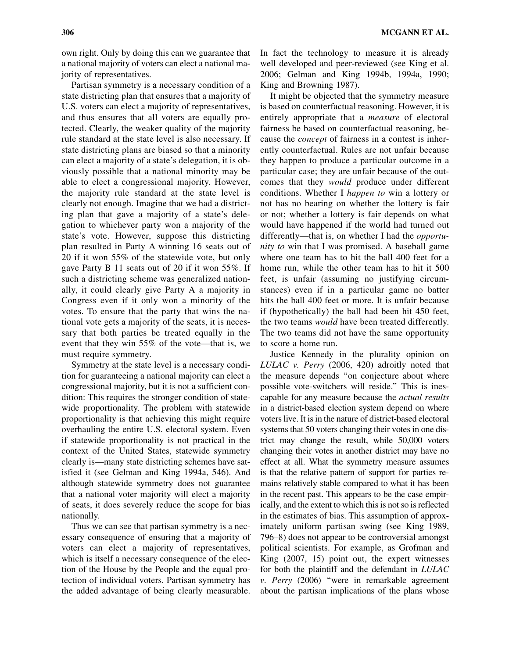own right. Only by doing this can we guarantee that a national majority of voters can elect a national majority of representatives.

Partisan symmetry is a necessary condition of a state districting plan that ensures that a majority of U.S. voters can elect a majority of representatives, and thus ensures that all voters are equally protected. Clearly, the weaker quality of the majority rule standard at the state level is also necessary. If state districting plans are biased so that a minority can elect a majority of a state's delegation, it is obviously possible that a national minority may be able to elect a congressional majority. However, the majority rule standard at the state level is clearly not enough. Imagine that we had a districting plan that gave a majority of a state's delegation to whichever party won a majority of the state's vote. However, suppose this districting plan resulted in Party A winning 16 seats out of 20 if it won 55% of the statewide vote, but only gave Party B 11 seats out of 20 if it won 55%. If such a districting scheme was generalized nationally, it could clearly give Party A a majority in Congress even if it only won a minority of the votes. To ensure that the party that wins the national vote gets a majority of the seats, it is necessary that both parties be treated equally in the event that they win 55% of the vote—that is, we must require symmetry.

Symmetry at the state level is a necessary condition for guaranteeing a national majority can elect a congressional majority, but it is not a sufficient condition: This requires the stronger condition of statewide proportionality. The problem with statewide proportionality is that achieving this might require overhauling the entire U.S. electoral system. Even if statewide proportionality is not practical in the context of the United States, statewide symmetry clearly is—many state districting schemes have satisfied it (see Gelman and King 1994a, 546). And although statewide symmetry does not guarantee that a national voter majority will elect a majority of seats, it does severely reduce the scope for bias nationally.

Thus we can see that partisan symmetry is a necessary consequence of ensuring that a majority of voters can elect a majority of representatives, which is itself a necessary consequence of the election of the House by the People and the equal protection of individual voters. Partisan symmetry has the added advantage of being clearly measurable.

In fact the technology to measure it is already well developed and peer-reviewed (see King et al. 2006; Gelman and King 1994b, 1994a, 1990; King and Browning 1987).

It might be objected that the symmetry measure is based on counterfactual reasoning. However, it is entirely appropriate that a measure of electoral fairness be based on counterfactual reasoning, because the concept of fairness in a contest is inherently counterfactual. Rules are not unfair because they happen to produce a particular outcome in a particular case; they are unfair because of the outcomes that they would produce under different conditions. Whether I happen to win a lottery or not has no bearing on whether the lottery is fair or not; whether a lottery is fair depends on what would have happened if the world had turned out differently—that is, on whether I had the opportunity to win that I was promised. A baseball game where one team has to hit the ball 400 feet for a home run, while the other team has to hit it 500 feet, is unfair (assuming no justifying circumstances) even if in a particular game no batter hits the ball 400 feet or more. It is unfair because if (hypothetically) the ball had been hit 450 feet, the two teams would have been treated differently. The two teams did not have the same opportunity to score a home run.

Justice Kennedy in the plurality opinion on LULAC v. Perry (2006, 420) adroitly noted that the measure depends ''on conjecture about where possible vote-switchers will reside.'' This is inescapable for any measure because the actual results in a district-based election system depend on where voters live. It is in the nature of district-based electoral systems that 50 voters changing their votes in one district may change the result, while 50,000 voters changing their votes in another district may have no effect at all. What the symmetry measure assumes is that the relative pattern of support for parties remains relatively stable compared to what it has been in the recent past. This appears to be the case empirically, and the extent to which this is not so is reflected in the estimates of bias. This assumption of approximately uniform partisan swing (see King 1989, 796–8) does not appear to be controversial amongst political scientists. For example, as Grofman and King (2007, 15) point out, the expert witnesses for both the plaintiff and the defendant in LULAC v. Perry (2006) ''were in remarkable agreement about the partisan implications of the plans whose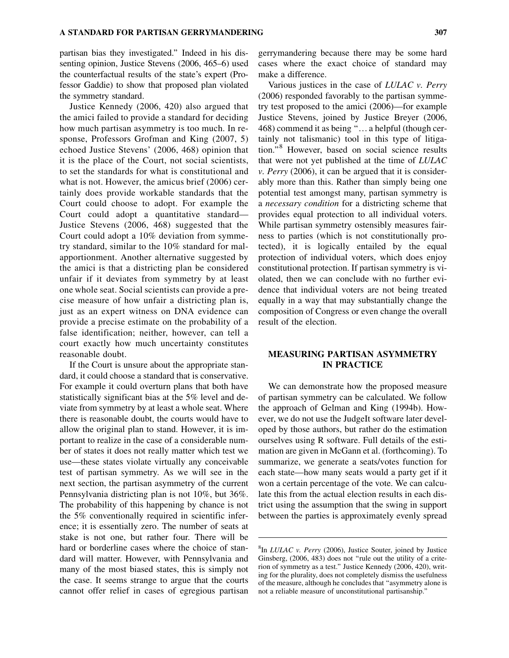partisan bias they investigated.'' Indeed in his dissenting opinion, Justice Stevens (2006, 465–6) used the counterfactual results of the state's expert (Professor Gaddie) to show that proposed plan violated the symmetry standard.

Justice Kennedy (2006, 420) also argued that the amici failed to provide a standard for deciding how much partisan asymmetry is too much. In response, Professors Grofman and King (2007, 5) echoed Justice Stevens' (2006, 468) opinion that it is the place of the Court, not social scientists, to set the standards for what is constitutional and what is not. However, the amicus brief (2006) certainly does provide workable standards that the Court could choose to adopt. For example the Court could adopt a quantitative standard— Justice Stevens (2006, 468) suggested that the Court could adopt a 10% deviation from symmetry standard, similar to the 10% standard for malapportionment. Another alternative suggested by the amici is that a districting plan be considered unfair if it deviates from symmetry by at least one whole seat. Social scientists can provide a precise measure of how unfair a districting plan is, just as an expert witness on DNA evidence can provide a precise estimate on the probability of a false identification; neither, however, can tell a court exactly how much uncertainty constitutes reasonable doubt.

If the Court is unsure about the appropriate standard, it could choose a standard that is conservative. For example it could overturn plans that both have statistically significant bias at the 5% level and deviate from symmetry by at least a whole seat. Where there is reasonable doubt, the courts would have to allow the original plan to stand. However, it is important to realize in the case of a considerable number of states it does not really matter which test we use—these states violate virtually any conceivable test of partisan symmetry. As we will see in the next section, the partisan asymmetry of the current Pennsylvania districting plan is not 10%, but 36%. The probability of this happening by chance is not the 5% conventionally required in scientific inference; it is essentially zero. The number of seats at stake is not one, but rather four. There will be hard or borderline cases where the choice of standard will matter. However, with Pennsylvania and many of the most biased states, this is simply not the case. It seems strange to argue that the courts cannot offer relief in cases of egregious partisan gerrymandering because there may be some hard cases where the exact choice of standard may make a difference.

Various justices in the case of LULAC v. Perry (2006) responded favorably to the partisan symmetry test proposed to the amici (2006)—for example Justice Stevens, joined by Justice Breyer (2006, 468) commend it as being "... a helpful (though certainly not talismanic) tool in this type of litigation.''8 However, based on social science results that were not yet published at the time of LULAC v. Perry (2006), it can be argued that it is considerably more than this. Rather than simply being one potential test amongst many, partisan symmetry is a necessary condition for a districting scheme that provides equal protection to all individual voters. While partisan symmetry ostensibly measures fairness to parties (which is not constitutionally protected), it is logically entailed by the equal protection of individual voters, which does enjoy constitutional protection. If partisan symmetry is violated, then we can conclude with no further evidence that individual voters are not being treated equally in a way that may substantially change the composition of Congress or even change the overall result of the election.

## MEASURING PARTISAN ASYMMETRY IN PRACTICE

We can demonstrate how the proposed measure of partisan symmetry can be calculated. We follow the approach of Gelman and King (1994b). However, we do not use the JudgeIt software later developed by those authors, but rather do the estimation ourselves using R software. Full details of the estimation are given in McGann et al. (forthcoming). To summarize, we generate a seats/votes function for each state—how many seats would a party get if it won a certain percentage of the vote. We can calculate this from the actual election results in each district using the assumption that the swing in support between the parties is approximately evenly spread

<sup>&</sup>lt;sup>8</sup>In LULAC v. Perry (2006), Justice Souter, joined by Justice Ginsberg, (2006, 483) does not "rule out the utility of a criterion of symmetry as a test.'' Justice Kennedy (2006, 420), writing for the plurality, does not completely dismiss the usefulness of the measure, although he concludes that ''asymmetry alone is not a reliable measure of unconstitutional partisanship.''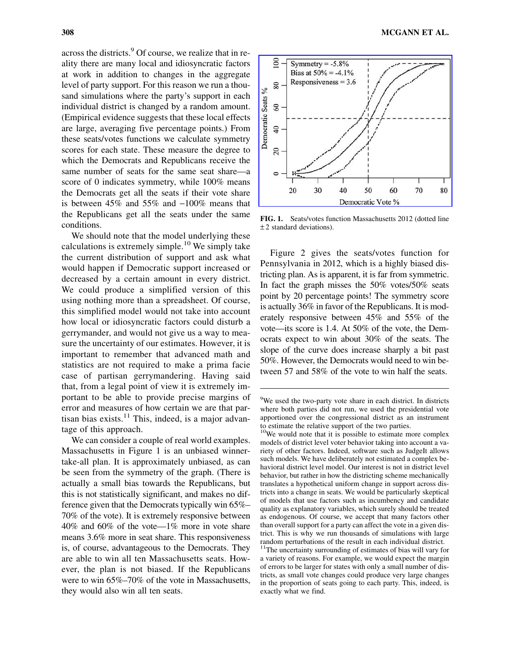across the districts.<sup>9</sup> Of course, we realize that in reality there are many local and idiosyncratic factors at work in addition to changes in the aggregate level of party support. For this reason we run a thousand simulations where the party's support in each individual district is changed by a random amount. (Empirical evidence suggests that these local effects are large, averaging five percentage points.) From these seats/votes functions we calculate symmetry scores for each state. These measure the degree to which the Democrats and Republicans receive the same number of seats for the same seat share—a score of 0 indicates symmetry, while 100% means the Democrats get all the seats if their vote share is between  $45\%$  and  $55\%$  and  $-100\%$  means that the Republicans get all the seats under the same conditions.

We should note that the model underlying these calculations is extremely simple.<sup>10</sup> We simply take the current distribution of support and ask what would happen if Democratic support increased or decreased by a certain amount in every district. We could produce a simplified version of this using nothing more than a spreadsheet. Of course, this simplified model would not take into account how local or idiosyncratic factors could disturb a gerrymander, and would not give us a way to measure the uncertainty of our estimates. However, it is important to remember that advanced math and statistics are not required to make a prima facie case of partisan gerrymandering. Having said that, from a legal point of view it is extremely important to be able to provide precise margins of error and measures of how certain we are that partisan bias exists. $11$  This, indeed, is a major advantage of this approach.

We can consider a couple of real world examples. Massachusetts in Figure 1 is an unbiased winnertake-all plan. It is approximately unbiased, as can be seen from the symmetry of the graph. (There is actually a small bias towards the Republicans, but this is not statistically significant, and makes no difference given that the Democrats typically win 65%– 70% of the vote). It is extremely responsive between 40% and 60% of the vote—1% more in vote share means 3.6% more in seat share. This responsiveness is, of course, advantageous to the Democrats. They are able to win all ten Massachusetts seats. However, the plan is not biased. If the Republicans were to win 65%–70% of the vote in Massachusetts, they would also win all ten seats.



FIG. 1. Seats/votes function Massachusetts 2012 (dotted line  $\pm$  2 standard deviations).

Figure 2 gives the seats/votes function for Pennsylvania in 2012, which is a highly biased districting plan. As is apparent, it is far from symmetric. In fact the graph misses the 50% votes/50% seats point by 20 percentage points! The symmetry score is actually 36% in favor of the Republicans. It is moderately responsive between 45% and 55% of the vote—its score is 1.4. At 50% of the vote, the Democrats expect to win about 30% of the seats. The slope of the curve does increase sharply a bit past 50%. However, the Democrats would need to win between 57 and 58% of the vote to win half the seats.

<sup>&</sup>lt;sup>9</sup>We used the two-party vote share in each district. In districts where both parties did not run, we used the presidential vote apportioned over the congressional district as an instrument to estimate the relative support of the two parties.

<sup>&</sup>lt;sup>10</sup>We would note that it is possible to estimate more complex models of district level voter behavior taking into account a variety of other factors. Indeed, software such as JudgeIt allows such models. We have deliberately not estimated a complex behavioral district level model. Our interest is not in district level behavior, but rather in how the districting scheme mechanically translates a hypothetical uniform change in support across districts into a change in seats. We would be particularly skeptical of models that use factors such as incumbency and candidate quality as explanatory variables, which surely should be treated as endogenous. Of course, we accept that many factors other than overall support for a party can affect the vote in a given district. This is why we run thousands of simulations with large random perturbations of the result in each individual district.

<sup>&</sup>lt;sup>11</sup>The uncertainty surrounding of estimates of bias will vary for a variety of reasons. For example, we would expect the margin of errors to be larger for states with only a small number of districts, as small vote changes could produce very large changes in the proportion of seats going to each party. This, indeed, is exactly what we find.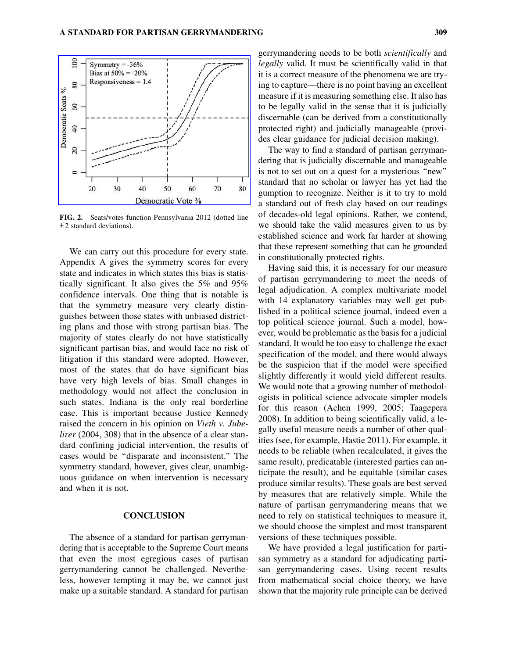

FIG. 2. Seats/votes function Pennsylvania 2012 (dotted line  $±$ 2 standard deviations).

We can carry out this procedure for every state. Appendix A gives the symmetry scores for every state and indicates in which states this bias is statistically significant. It also gives the 5% and 95% confidence intervals. One thing that is notable is that the symmetry measure very clearly distinguishes between those states with unbiased districting plans and those with strong partisan bias. The majority of states clearly do not have statistically significant partisan bias, and would face no risk of litigation if this standard were adopted. However, most of the states that do have significant bias have very high levels of bias. Small changes in methodology would not affect the conclusion in such states. Indiana is the only real borderline case. This is important because Justice Kennedy raised the concern in his opinion on Vieth v. Jubelirer (2004, 308) that in the absence of a clear standard confining judicial intervention, the results of cases would be ''disparate and inconsistent.'' The symmetry standard, however, gives clear, unambiguous guidance on when intervention is necessary and when it is not.

## **CONCLUSION**

The absence of a standard for partisan gerrymandering that is acceptable to the Supreme Court means that even the most egregious cases of partisan gerrymandering cannot be challenged. Nevertheless, however tempting it may be, we cannot just make up a suitable standard. A standard for partisan

gerrymandering needs to be both scientifically and legally valid. It must be scientifically valid in that it is a correct measure of the phenomena we are trying to capture—there is no point having an excellent measure if it is measuring something else. It also has to be legally valid in the sense that it is judicially discernable (can be derived from a constitutionally protected right) and judicially manageable (provides clear guidance for judicial decision making).

The way to find a standard of partisan gerrymandering that is judicially discernable and manageable is not to set out on a quest for a mysterious ''new'' standard that no scholar or lawyer has yet had the gumption to recognize. Neither is it to try to mold a standard out of fresh clay based on our readings of decades-old legal opinions. Rather, we contend, we should take the valid measures given to us by established science and work far harder at showing that these represent something that can be grounded in constitutionally protected rights.

Having said this, it is necessary for our measure of partisan gerrymandering to meet the needs of legal adjudication. A complex multivariate model with 14 explanatory variables may well get published in a political science journal, indeed even a top political science journal. Such a model, however, would be problematic as the basis for a judicial standard. It would be too easy to challenge the exact specification of the model, and there would always be the suspicion that if the model were specified slightly differently it would yield different results. We would note that a growing number of methodologists in political science advocate simpler models for this reason (Achen 1999, 2005; Taagepera 2008). In addition to being scientifically valid, a legally useful measure needs a number of other qualities (see, for example, Hastie 2011). For example, it needs to be reliable (when recalculated, it gives the same result), predicatable (interested parties can anticipate the result), and be equitable (similar cases produce similar results). These goals are best served by measures that are relatively simple. While the nature of partisan gerrymandering means that we need to rely on statistical techniques to measure it, we should choose the simplest and most transparent versions of these techniques possible.

We have provided a legal justification for partisan symmetry as a standard for adjudicating partisan gerrymandering cases. Using recent results from mathematical social choice theory, we have shown that the majority rule principle can be derived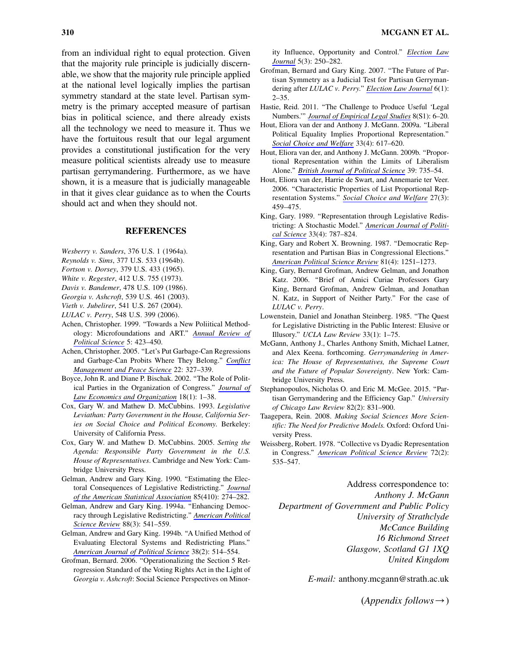from an individual right to equal protection. Given that the majority rule principle is judicially discernable, we show that the majority rule principle applied at the national level logically implies the partisan symmetry standard at the state level. Partisan symmetry is the primary accepted measure of partisan bias in political science, and there already exists all the technology we need to measure it. Thus we have the fortuitous result that our legal argument provides a constitutional justification for the very measure political scientists already use to measure partisan gerrymandering. Furthermore, as we have shown, it is a measure that is judicially manageable in that it gives clear guidance as to when the Courts should act and when they should not.

#### REFERENCES

- Wesberry v. Sanders, 376 U.S. 1 (1964a).
- Reynolds v. Sims, 377 U.S. 533 (1964b).
- Fortson v. Dorsey, 379 U.S. 433 (1965).
- White v. Regester, 412 U.S. 755 (1973).
- Davis v. Bandemer, 478 U.S. 109 (1986).
- Georgia v. Ashcroft, 539 U.S. 461 (2003).
- Vieth v. Jubelirer, 541 U.S. 267 (2004).
- LULAC v. Perry, 548 U.S. 399 (2006). Achen, Christopher. 1999. ''Towards a New Poliitical Method-
- ology: Microfoundations and ART.'' [Annual Review of](http://online.liebertpub.com/action/showLinks?crossref=10.1146%2Fannurev.polisci.5.112801.080943) [Political Science](http://online.liebertpub.com/action/showLinks?crossref=10.1146%2Fannurev.polisci.5.112801.080943) 5: 423–450.
- Achen, Christopher. 2005. ''Let's Put Garbage-Can Regressions and Garbage-Can Probits Where They Belong." [Conflict](http://online.liebertpub.com/action/showLinks?crossref=10.1080%2F07388940500339167) [Management and Peace Science](http://online.liebertpub.com/action/showLinks?crossref=10.1080%2F07388940500339167) 22: 327–339.
- Boyce, John R. and Diane P. Bischak. 2002. ''The Role of Political Parties in the Organization of Congress.'' [Journal of](http://online.liebertpub.com/action/showLinks?crossref=10.1093%2Fjleo%2F18.1.1) [Law Economics and Organization](http://online.liebertpub.com/action/showLinks?crossref=10.1093%2Fjleo%2F18.1.1) 18(1): 1–38.
- Cox, Gary W. and Mathew D. McCubbins. 1993. Legislative Leviathan: Party Government in the House, California Series on Social Choice and Political Economy. Berkeley: University of California Press.
- Cox, Gary W. and Mathew D. McCubbins. 2005. Setting the Agenda: Responsible Party Government in the U.S. House of Representatives. Cambridge and New York: Cambridge University Press.
- Gelman, Andrew and Gary King. 1990. "Estimating the Electoral Consequences of Legislative Redistricting.'' [Journal](http://online.liebertpub.com/action/showLinks?crossref=10.1080%2F01621459.1990.10476199) [of the American Statistical Association](http://online.liebertpub.com/action/showLinks?crossref=10.1080%2F01621459.1990.10476199) 85(410): 274–282.
- Gelman, Andrew and Gary King. 1994a. ''Enhancing Democracy through Legislative Redistricting.'' [American Political](http://online.liebertpub.com/action/showLinks?crossref=10.2307%2F2944794) [Science Review](http://online.liebertpub.com/action/showLinks?crossref=10.2307%2F2944794) 88(3): 541–559.
- Gelman, Andrew and Gary King. 1994b. ''A Unified Method of Evaluating Electoral Systems and Redistricting Plans.'' [American Journal of Political Science](http://online.liebertpub.com/action/showLinks?crossref=10.2307%2F2111417) 38(2): 514–554.
- Grofman, Bernard. 2006. ''Operationalizing the Section 5 Retrogression Standard of the Voting Rights Act in the Light of Georgia v. Ashcroft: Social Science Perspectives on Minor-

ity Influence, Opportunity and Control." [Election Law](http://online.liebertpub.com/action/showLinks?system=10.1089%2Felj.2006.5.250) [Journal](http://online.liebertpub.com/action/showLinks?system=10.1089%2Felj.2006.5.250) 5(3): 250–282.

- Grofman, Bernard and Gary King. 2007. ''The Future of Partisan Symmetry as a Judicial Test for Partisan Gerryman-dering after LULAC v. Perry." [Election Law Journal](http://online.liebertpub.com/action/showLinks?system=10.1089%2Felj.2006.6002) 6(1):  $2 - 35.$
- Hastie, Reid. 2011. "The Challenge to Produce Useful 'Legal Numbers.''' [Journal of Empirical Legal Studies](http://online.liebertpub.com/action/showLinks?crossref=10.1111%2Fj.1740-1461.2011.01224.x) 8(S1): 6–20.
- Hout, Eliora van der and Anthony J. McGann. 2009a. ''Liberal Political Equality Implies Proportional Representation.'' [Social Choice and Welfare](http://online.liebertpub.com/action/showLinks?crossref=10.1007%2Fs00355-009-0382-8) 33(4): 617–620.
- Hout, Eliora van der, and Anthony J. McGann. 2009b. ''Proportional Representation within the Limits of Liberalism Alone.'' [British Journal of Political Science](http://online.liebertpub.com/action/showLinks?crossref=10.1017%2FS0007123409000684) 39: 735–54.
- Hout, Eliora van der, Harrie de Swart, and Annemarie ter Veer. 2006. ''Characteristic Properties of List Proportional Rep-resentation Systems." [Social Choice and Welfare](http://online.liebertpub.com/action/showLinks?crossref=10.1007%2Fs00355-006-0103-5) 27(3): 459–475.
- King, Gary. 1989. ''Representation through Legislative Redistricting: A Stochastic Model.'' [American Journal of Politi](http://online.liebertpub.com/action/showLinks?crossref=10.2307%2F2111110)[cal Science](http://online.liebertpub.com/action/showLinks?crossref=10.2307%2F2111110) 33(4): 787–824.
- King, Gary and Robert X. Browning. 1987. ''Democratic Representation and Partisan Bias in Congressional Elections.'' [American Political Science Review](http://online.liebertpub.com/action/showLinks?crossref=10.2307%2F1962588) 81(4): 1251–1273.
- King, Gary, Bernard Grofman, Andrew Gelman, and Jonathon Katz. 2006. ''Brief of Amici Curiae Professors Gary King, Bernard Grofman, Andrew Gelman, and Jonathan N. Katz, in Support of Neither Party.'' For the case of LULAC v. Perry.
- Lowenstein, Daniel and Jonathan Steinberg. 1985. ''The Quest for Legislative Districting in the Public Interest: Elusive or Illusory.'' UCLA Law Review 33(1): 1–75.
- McGann, Anthony J., Charles Anthony Smith, Michael Latner, and Alex Keena. forthcoming. Gerrymandering in America: The House of Representatives, the Supreme Court and the Future of Popular Sovereignty. New York: Cambridge University Press.
- Stephanopoulos, Nicholas O. and Eric M. McGee. 2015. "Partisan Gerrymandering and the Efficiency Gap.'' University of Chicago Law Review 82(2): 831–900.
- Taagepera, Rein. 2008. Making Social Sciences More Scientific: The Need for Predictive Models. Oxford: Oxford University Press.
- Weissberg, Robert. 1978. ''Collective vs Dyadic Representation in Congress." [American Political Science Review](http://online.liebertpub.com/action/showLinks?crossref=10.2307%2F1954109) 72(2): 535–547.

Address correspondence to: Anthony J. McGann Department of Government and Public Policy University of Strathclyde McCance Building 16 Richmond Street Glasgow, Scotland G1 1XQ United Kingdom

E-mail: anthony.mcgann@strath.ac.uk

(Appendix follows  $\rightarrow$ )